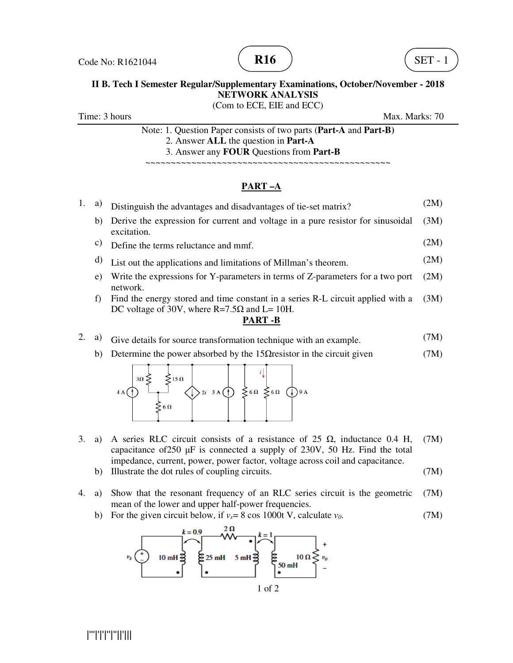



## **II B. Tech I Semester Regular/Supplementary Examinations, October/November - 2018**<br>NETWORK ANALYSIS (Com to ECE, EIE and ECC)

Time: 3 hours

Max. Marks: 70

Note: 1. Question Paper consists of two parts (**Part-A** and **Part--B)** 2. Answer **ALL** the question in **Part-A** 3. Answer any **FOUR** Questions from **Part-B**

~~~~~~~~~~~~~~~~~~~~~~~~~~~~~~~~~~~ ~~~~~~~~~~~~~~~~~~~~~~~~~~~~~~~~~~~

### **PART –A**

|         |    | PART-A                                                                                         |      |
|---------|----|------------------------------------------------------------------------------------------------|------|
| $1_{-}$ | a) | Distinguish the advantages and disadvantages of tie-set matrix?                                | (2M) |
|         | b) | Derive the expression for current and voltage in a pure resistor for sinusoidal<br>excitation. | (3M) |
|         | C) | Define the terms reluctance and mmf.                                                           | (2M) |
|         | d) | List out the applications and limitations of Millman's theorem.                                | (2M) |
|         | e) | Write the expressions for Y-parameters in terms of Z-parameters for a two port<br>network.     | (2M) |

f) Find the energy stored and time constant in a series R-L circuit applied with a (3M) DC voltage of 30V, where  $R=7.5\Omega$  and  $L=10H$ .

#### **PART -B**

- 2. a) Give details for source transformation technique with an example. (7M)
	- b) Determine the power absorbed by the 15 $\Omega$ resistor in the circuit given (7M)



- 3. a) A series RLC circuit consists of a resistance of 25  $\Omega$ , inductance 0.4 H, capacitance of  $250 \mu$ F is connected a supply of  $230V$ ,  $50$  Hz. Find the total capacitance of 250  $\mu$ F is connected a supply of 230V, 50 Hz. Find the tot impedance, current, power, power factor, voltage across coil and capacitance. sists of a resistance of 25  $\Omega$ , inductance 0.4 H, (7M) onnected a supply of 230V, 50 Hz. Find the total power factor, voltage across coil and capacitance. (7M)
- b) Illustrate the dot rules of coupling circuits.
- 4. a) Show that the resonant frequency of an RLC series circuit is the geometric mean of the lower and upper half-power frequencies. mean of the lower and upper half-power frequencies. (7M)
- b) For the given circuit below, if  $v_s = 8 \cos 1000t$  V, calculate  $v_0$ . (7M)

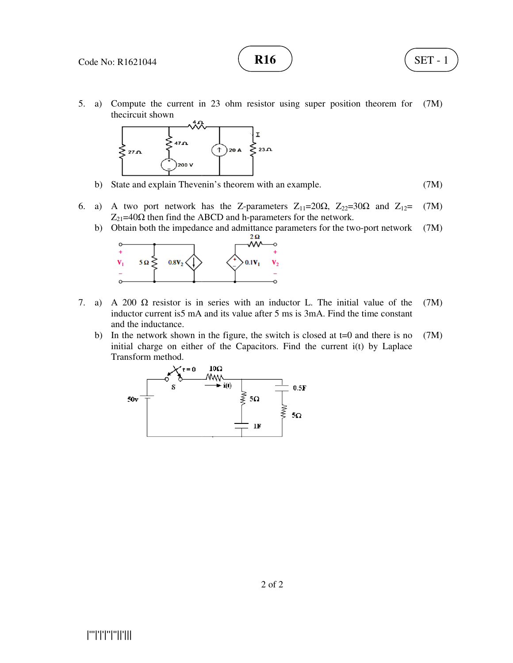

SET - 1

5. a) Compute the current in 23 ohm resistor using super position theorem for thecircuit shown (7M)



b) State and explain Thevenin's theorem with an example. (7M)

- 6. a) A two port network has the Z-parameters  $Z_{11}=20\Omega$ ,  $Z_{22}=30\Omega$  and  $Z_{12}=$  (7M)  $Z_{21}$ =40Ω then find the ABCD and h-parameters for the network.
- b) Obtain both the impedance and admittance parameters for the two-port network (7M)



- 7. a) A 200  $\Omega$  resistor is in series with an inductor L. The initial value of the A 200  $\Omega$  resistor is in series with an inductor L. The initial value of the inductor current is 5 mA and its value after 5 ms is 3mA. Find the time constant and the inductance. (7M)
	- b) In the network shown in the figure, the switch is closed at  $t=0$  and there is no In the network shown in the figure, the switch is closed at  $t=0$  and there is no (7M) initial charge on either of the Capacitors. Find the current  $i(t)$  by Laplace Transform method.

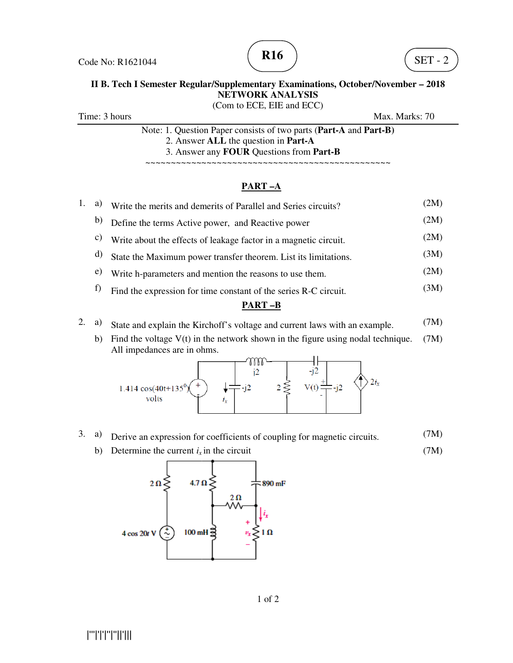



# **II B. Tech I Semester Regular/Supplementary Examinations, October/November – 2018**<br>NETWORK ANALYSIS

Time: 3 hours

(Com to ECE, EIE and ECC)

Max. Max. Marks: 70

Note: 1. Question Paper consists of two parts (**Part-A** and **Part--B)** 2. Answer **ALL** the question in **Part-A** 3. Answer any **FOUR** Questions from **Part-B**

~~~~~~~~~~~~~~~~~~~~~~~~~~~~~~~~~~~ ~~~~~~~~~~~~~~~~~~~~~~~~~~~~~~~~~~~

### **PART –A**

|    |    | PART-A                                                           |      |
|----|----|------------------------------------------------------------------|------|
| 1. | a) | Write the merits and demerits of Parallel and Series circuits?   | (2M) |
|    | b) | Define the terms Active power, and Reactive power                | (2M) |
|    | C) | Write about the effects of leakage factor in a magnetic circuit. | (2M) |
|    | d) | State the Maximum power transfer theorem. List its limitations.  | (3M) |
|    | e) | Write h-parameters and mention the reasons to use them.          | (2M) |
|    | f) | Find the expression for time constant of the series R-C circuit. | (3M) |
|    |    | <b>PART-B</b>                                                    |      |

- 2. a) State and explain the Kirchoff's voltage and current laws with an example.  $(7M)$
- b) Find the voltage V(t) in the network shown in the figure using nodal technique. All impedances are in ohms State and explain the Kirchoff's voltage and current laws with an exa<br>Find the voltage V(t) in the network shown in the figure using nodal<br>All impedances are in ohms. network shown in the figure using nodal technique. (7M)

0000  $i2$ -i2  $2i_x$  $i2$  $2 \leq$  $V(t)$  =  $1.414 \cos(40t+135)$ volts  $i_{x}$ 

- $3.$  a) Derive an expression for coefficients of coupling for magnetic circuits. (7M)
- b) Determine the current  $i_x$  in the circuit



(7M)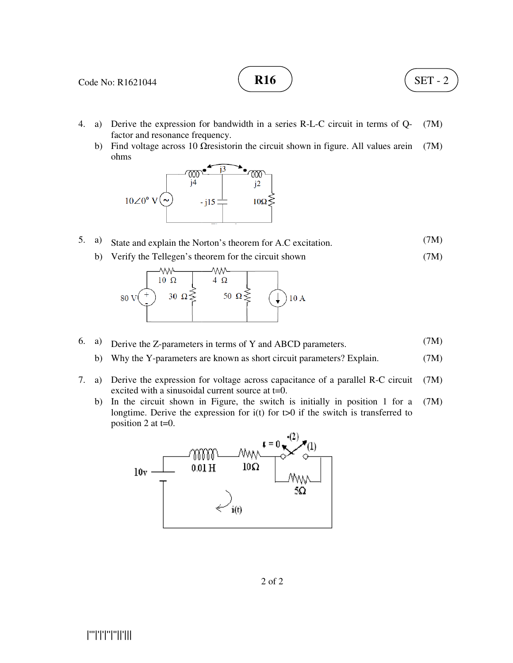$$
\text{Code No: R1621044} \qquad \qquad \textbf{R16} \qquad \qquad \text{SET - 2}
$$

- 4. a) Derive the expression for bandwidth in a series R-L-C circuit in terms of Q- (7M) factor and resonance frequency.
- factor and resonance frequency.<br>b) Find voltage across 10 Ωresistorin the circuit shown in figure. All values arein (7M) ohms



5. a) State and explain the Norton's theorem for A.C excitation. (7M)

(7M)

b) Verify the Tellegen's theorem for the circuit shown



- 6. a) Derive the Z-parameters in terms of Y and ABCD parameters. (7M)
	- b) Why the Y-parameters are known as short circuit parameters? Explain. (7M)
- 7. a) Derive the expression for voltage across capacitance of a parallel R-C circuit (7M) excited with a sinusoidal current source at t=0.
	- excited with a sinusoidal current source at  $t=0$ .<br>b) In the circuit shown in Figure, the switch is initially in position 1 for a In the circuit shown in Figure, the switch is initially in position 1 for a  $(7M)$  longtime. Derive the expression for  $i(t)$  for  $t>0$  if the switch is transferred to position 2 at t=0.

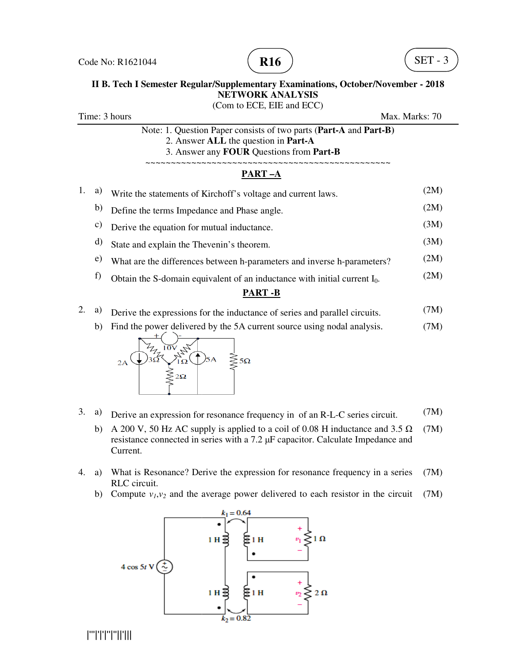

# **II B. Tech I Semester Regular/Supplementary Examinations, October/November - 2018**<br>NETWORK ANALYSIS

Time: 3 hours Note: 1. Question Paper consists of two parts (**Part-A** and **Part--B)** 2. Answer **ALL** the question in **Part-A** 3. Answer any **FOUR** Questions from **Part-B** ~~~~~~~~~~~~~~~~~~~~~~~~~~~~~~~~~~~ 1. a) Write the statements of Kirchoff's voltage and current laws. Write laws. b) Define the terms Impedance and Phase angle. c) Derive the equation for mutual inductance. d) State and explain the Thevenin's theorem. E) Derive the equation for mutual inductance. (3M)<br>
d) State and explain the Thevenin's theorem. (3M)<br>
e) What are the differences between h-parameters and inverse h-parameters? (2M) f) Obtain the S-domain equivalent of an inductance with initial current  $I_0$ . (Com to ECE, EIE and ECC) Max. Marks: Marks: 70 ~~~~~~~~~~~~~~~~~~~~~~~~~~~~~~~~~~~ **PART –A** Expression in the Separator of Equality Separations, October/Novembelle Media (Control DCE, BIE and BCC)<br>
Next WORK ANALYSIS<br>
Note: 1. Question Paper consists of two parts (Part-A and Part-B)<br>
Note: 1. Question Paper cons ~~~~~~~~~~~~(2M) (2M) (3M) (3M) (2M)

#### **PART -B**

- 2. a) Derive the expressions for the inductance of series and parallel circuits. (7M)
- b) Find the power delivered by the 5A current source using nodal analysis. (7M)



- 3. a) Derive an expression for resonance frequency in of an R-L-C series circuit.  $(7M)$
- b) A 200 V, 50 Hz AC supply is applied to a coil of 0.08 H inductance and 3.5  $\Omega$ A 200 V, 50 Hz AC supply is applied to a coil of 0.08 H inductance and 3.5  $\Omega$  (7M) resistance connected in series with a 7.2  $\mu$ F capacitor. Calculate Impedance and Current.
- 4. a) What is Resonance? Derive the expression for resonance frequency in a series (7M) RLC circuit.
	- b) Compute  $v_1, v_2$  and the average power delivered to each resistor in the circuit (7M)



|'''|'|'|''|''||'|||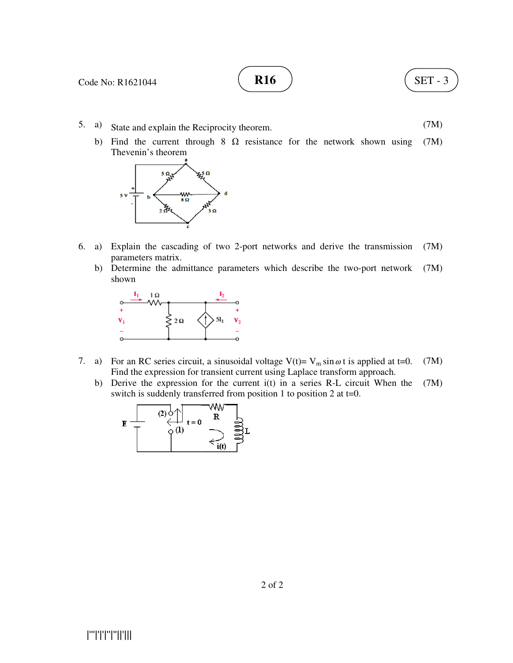Code No: R1621044 
$$
\qquad \qquad \mathbf{R16} \qquad \qquad \qquad \mathbf{E17-3}
$$

- 5. a) State and explain the Reciprocity theorem. (7M)
- 5. a) State and explain the Reciprocity theorem. (AM)<br>b) Find the current through 8 Ω resistance for the network shown using (7M) Thevenin's theorem



- 6. a) Explain the cascading of two 2-port networks and derive the transmission (7M) parameters matrix.
- b) Determine the admittance parameters which describe the two-port network (7M) shown



- 7. a) For an RC series circuit, a sinusoidal voltage  $V(t) = V_m \sin \omega t$  is applied at t=0. (7M) Find the expression for transient current using Laplace transform approach.
- Find the expression for transient current using Laplace transform approach.<br>b) Derive the expression for the current  $i(t)$  in a series R-L circuit When the (7M) switch is suddenly transferred from position 1 to position 2 at  $t=0$ .

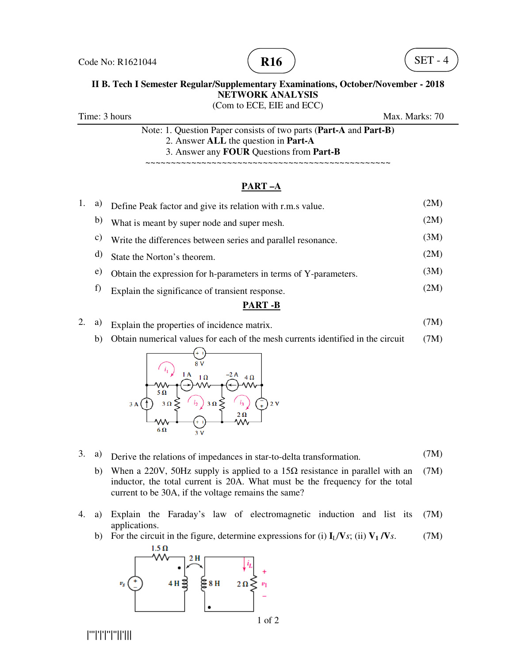



# **II B. Tech I Semester Regular/Supplementary Examinations, October/November - 2018**<br>NETWORK ANALYSIS

(Com to ECE, EIE and ECC)

Time: 3 hours

Max. Marks: 70

Note: 1. Question Paper consists of two parts (**Part-A** and **Part--B)** 2. Answer **ALL** the question in **Part-A** 3. Answer any **FOUR** Questions from **Part-B**

~~~~~~~~~~~~~~~~~~~~~~~~~~~~~~~~~~~ ~~~~~~~~~~~~~~~~~~~~~~~~~~~~~~~~~~~

### **PART –A**

|    | PART-A                                                           |      |
|----|------------------------------------------------------------------|------|
| a) | Define Peak factor and give its relation with r.m.s value.       | (2M) |
| b) | What is meant by super node and super mesh.                      | (2M) |
| C) | Write the differences between series and parallel resonance.     | (3M) |
| d) | State the Norton's theorem.                                      | (2M) |
| e) | Obtain the expression for h-parameters in terms of Y-parameters. | (3M) |
| f) | Explain the significance of transient response.                  | (2M) |
| 1. |                                                                  |      |

#### **PART -B**

- 2.  $\alpha$ ) Explain the properties of incidence matrix. (7M)
- b) Obtain numerical values for each of the mesh currents identified in the circuit (7M)



- $3. \quad a)$  Derive the relations of impedances in star-to-delta transformation. (7M)
- b) When a 220V, 50Hz supply is applied to a 15 $\Omega$  resistance in parallel with an When a 220V, 50Hz supply is applied to a  $15\Omega$  resistance in parallel with an (7M) inductor, the total current is 20A. What must be the frequency for the total current to be 30A, if the voltage remains the same?
- 4. a) Explain the Faraday's law of electromagnetic induction and list its (7M) applications. For the circuit in the figure, determine expressions for (i)  $\mathbf{I}_L/\mathbf{V}_S$ ; (ii)  $\mathbf{V}_1/\mathbf{V}_I$ <br>
b) For the circuit in the figure, determine expressions for (i)  $\mathbf{I}_L/\mathbf{V}_S$ ; (ii)  $\mathbf{V}_1/\mathbf{V}_I$ 
	- *s*. (7M)  $1.5 \Omega$



|'''|'|'|''|''||'|||